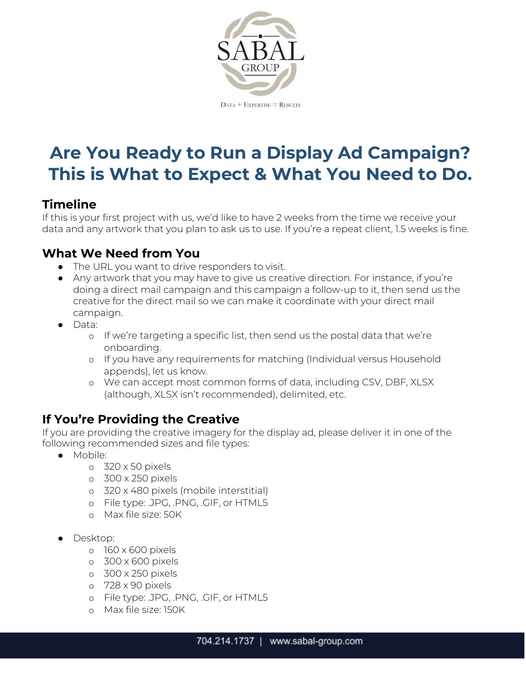

# **Are You Ready to Run a Display Ad Campaign? This is What to Expect & What You Need to Do.**

### **Timeline**

If this is your first project with us, we'd like to have 2 weeks from the time we receive your data and any artwork that you plan to ask us to use. If you're a repeat client, 1.5 weeks is fine.

# **What We Need from You**

- The URL you want to drive responders to visit.
- Any artwork that you may have to give us creative direction. For instance, if you're doing a direct mail campaign and this campaign a follow-up to it, then send us the creative for the direct mail so we can make it coordinate with your direct mail campaign.
- Data:
	- o If we're targeting a specific list, then send us the postal data that we're onboarding.
	- o If you have any requirements for matching (Individual versus Household appends), let us know.
	- o We can accept most common forms of data, including CSV, DBF, XLSX (although, XLSX isn't recommended), delimited, etc.

# **If You're Providing the Creative**

If you are providing the creative imagery for the display ad, please deliver it in one of the following recommended sizes and file types:

- Mobile:
	- o 320 x 50 pixels
	- o 300 x 250 pixels
	- o 320 x 480 pixels (mobile interstitial)
	- o File type: .JPG, .PNG, .GIF, or HTML5
	- o Max file size: 50K
- Desktop:
	- o 160 x 600 pixels
	- o 300 x 600 pixels
	- o 300 x 250 pixels
	- o 728 x 90 pixels
	- o File type: .JPG, .PNG, .GIF, or HTML5
	- o Max file size: 150K